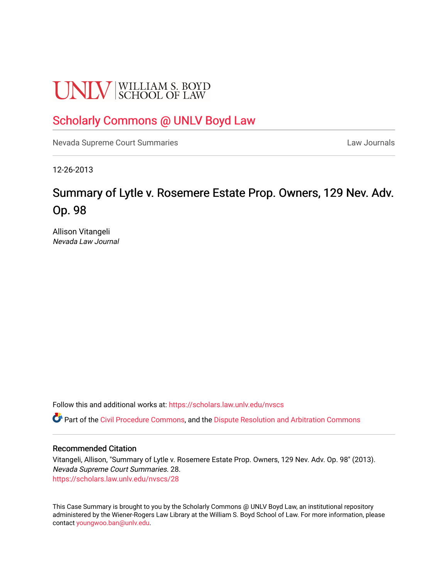# **UNLV** SCHOOL OF LAW

# [Scholarly Commons @ UNLV Boyd Law](https://scholars.law.unlv.edu/)

[Nevada Supreme Court Summaries](https://scholars.law.unlv.edu/nvscs) **Law Journals** Law Journals

12-26-2013

# Summary of Lytle v. Rosemere Estate Prop. Owners, 129 Nev. Adv. Op. 98

Allison Vitangeli Nevada Law Journal

Follow this and additional works at: [https://scholars.law.unlv.edu/nvscs](https://scholars.law.unlv.edu/nvscs?utm_source=scholars.law.unlv.edu%2Fnvscs%2F28&utm_medium=PDF&utm_campaign=PDFCoverPages)

Part of the [Civil Procedure Commons,](http://network.bepress.com/hgg/discipline/584?utm_source=scholars.law.unlv.edu%2Fnvscs%2F28&utm_medium=PDF&utm_campaign=PDFCoverPages) and the Dispute Resolution and Arbitration Commons

# Recommended Citation

Vitangeli, Allison, "Summary of Lytle v. Rosemere Estate Prop. Owners, 129 Nev. Adv. Op. 98" (2013). Nevada Supreme Court Summaries. 28. [https://scholars.law.unlv.edu/nvscs/28](https://scholars.law.unlv.edu/nvscs/28?utm_source=scholars.law.unlv.edu%2Fnvscs%2F28&utm_medium=PDF&utm_campaign=PDFCoverPages) 

This Case Summary is brought to you by the Scholarly Commons @ UNLV Boyd Law, an institutional repository administered by the Wiener-Rogers Law Library at the William S. Boyd School of Law. For more information, please contact [youngwoo.ban@unlv.edu](mailto:youngwoo.ban@unlv.edu).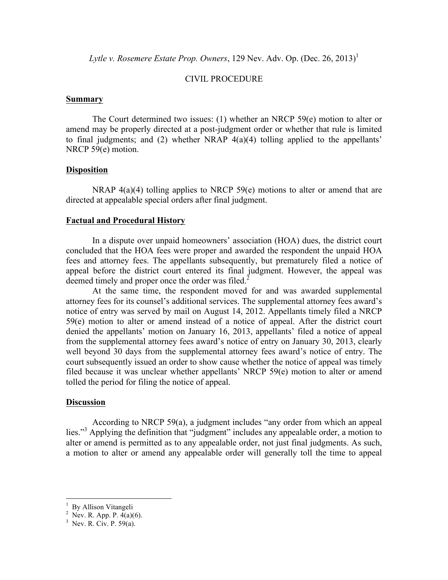*Lytle v. Rosemere Estate Prop. Owners*, 129 Nev. Adv. Op. (Dec. 26, 2013)<sup>1</sup>

# CIVIL PROCEDURE

#### **Summary**

The Court determined two issues: (1) whether an NRCP 59(e) motion to alter or amend may be properly directed at a post-judgment order or whether that rule is limited to final judgments; and (2) whether NRAP 4(a)(4) tolling applied to the appellants' NRCP 59(e) motion.

# **Disposition**

NRAP 4(a)(4) tolling applies to NRCP 59(e) motions to alter or amend that are directed at appealable special orders after final judgment.

## **Factual and Procedural History**

In a dispute over unpaid homeowners' association (HOA) dues, the district court concluded that the HOA fees were proper and awarded the respondent the unpaid HOA fees and attorney fees. The appellants subsequently, but prematurely filed a notice of appeal before the district court entered its final judgment. However, the appeal was deemed timely and proper once the order was filed.<sup>2</sup>

At the same time, the respondent moved for and was awarded supplemental attorney fees for its counsel's additional services. The supplemental attorney fees award's notice of entry was served by mail on August 14, 2012. Appellants timely filed a NRCP 59(e) motion to alter or amend instead of a notice of appeal. After the district court denied the appellants' motion on January 16, 2013, appellants' filed a notice of appeal from the supplemental attorney fees award's notice of entry on January 30, 2013, clearly well beyond 30 days from the supplemental attorney fees award's notice of entry. The court subsequently issued an order to show cause whether the notice of appeal was timely filed because it was unclear whether appellants' NRCP 59(e) motion to alter or amend tolled the period for filing the notice of appeal.

# **Discussion**

According to NRCP 59(a), a judgment includes "any order from which an appeal lies."3 Applying the definition that "judgment" includes any appealable order, a motion to alter or amend is permitted as to any appealable order, not just final judgments. As such, a motion to alter or amend any appealable order will generally toll the time to appeal

 $\frac{1}{1}$  D.: Allison Vitangeli  $\frac{1}{2}$  By Allison Vitangeli

<sup>&</sup>lt;sup>2</sup> Nev. R. App. P. 4(a)(6).

 $3$  Nev. R. Civ. P. 59(a).